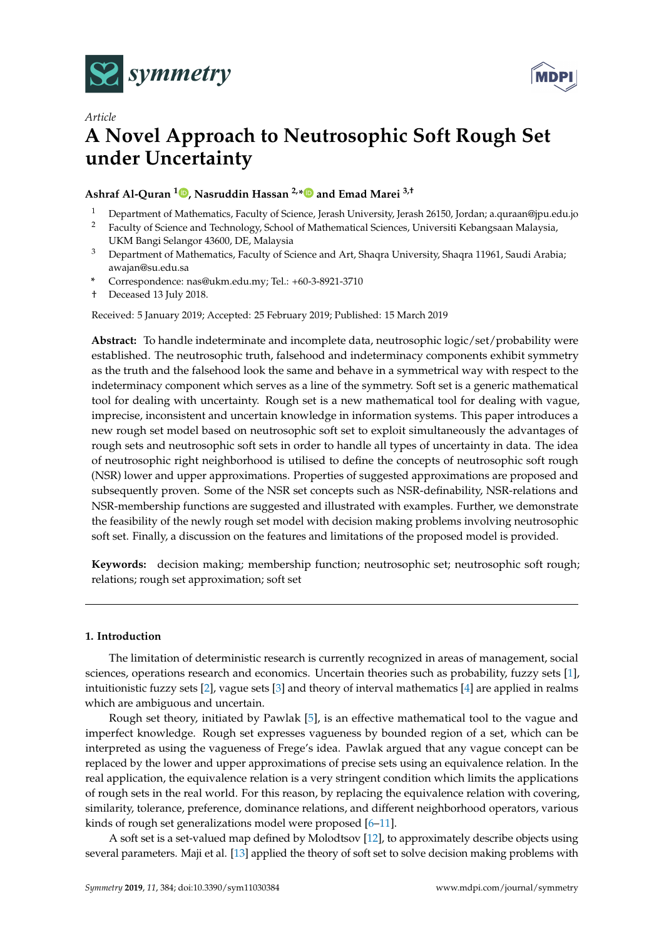



# *Article* **A Novel Approach to Neutrosophic Soft Rough Set under Uncertainty**

## **Ashraf Al-Quran <sup>1</sup> [,](https://orcid.org/0000-0002-1140-1710) Nasruddin Hassan 2,[\\*](https://orcid.org/ 0000-0002-1659-7089) and Emad Marei 3,†**

- <sup>1</sup> Department of Mathematics, Faculty of Science, Jerash University, Jerash 26150, Jordan; a.quraan@jpu.edu.jo
- <sup>2</sup> Faculty of Science and Technology, School of Mathematical Sciences, Universiti Kebangsaan Malaysia, UKM Bangi Selangor 43600, DE, Malaysia
- <sup>3</sup> Department of Mathematics, Faculty of Science and Art, Shaqra University, Shaqra 11961, Saudi Arabia; awajan@su.edu.sa
- **\*** Correspondence: nas@ukm.edu.my; Tel.: +60-3-8921-3710
- † Deceased 13 July 2018.

Received: 5 January 2019; Accepted: 25 February 2019; Published: 15 March 2019

**Abstract:** To handle indeterminate and incomplete data, neutrosophic logic/set/probability were established. The neutrosophic truth, falsehood and indeterminacy components exhibit symmetry as the truth and the falsehood look the same and behave in a symmetrical way with respect to the indeterminacy component which serves as a line of the symmetry. Soft set is a generic mathematical tool for dealing with uncertainty. Rough set is a new mathematical tool for dealing with vague, imprecise, inconsistent and uncertain knowledge in information systems. This paper introduces a new rough set model based on neutrosophic soft set to exploit simultaneously the advantages of rough sets and neutrosophic soft sets in order to handle all types of uncertainty in data. The idea of neutrosophic right neighborhood is utilised to define the concepts of neutrosophic soft rough (NSR) lower and upper approximations. Properties of suggested approximations are proposed and subsequently proven. Some of the NSR set concepts such as NSR-definability, NSR-relations and NSR-membership functions are suggested and illustrated with examples. Further, we demonstrate the feasibility of the newly rough set model with decision making problems involving neutrosophic soft set. Finally, a discussion on the features and limitations of the proposed model is provided.

**Keywords:** decision making; membership function; neutrosophic set; neutrosophic soft rough; relations; rough set approximation; soft set

## **1. Introduction**

The limitation of deterministic research is currently recognized in areas of management, social sciences, operations research and economics. Uncertain theories such as probability, fuzzy sets [\[1\]](#page-14-0), intuitionistic fuzzy sets [\[2\]](#page-14-1), vague sets [\[3\]](#page-14-2) and theory of interval mathematics [\[4\]](#page-14-3) are applied in realms which are ambiguous and uncertain.

Rough set theory, initiated by Pawlak [\[5\]](#page-14-4), is an effective mathematical tool to the vague and imperfect knowledge. Rough set expresses vagueness by bounded region of a set, which can be interpreted as using the vagueness of Frege's idea. Pawlak argued that any vague concept can be replaced by the lower and upper approximations of precise sets using an equivalence relation. In the real application, the equivalence relation is a very stringent condition which limits the applications of rough sets in the real world. For this reason, by replacing the equivalence relation with covering, similarity, tolerance, preference, dominance relations, and different neighborhood operators, various kinds of rough set generalizations model were proposed [\[6](#page-14-5)[–11\]](#page-14-6).

A soft set is a set-valued map defined by Molodtsov [\[12\]](#page-14-7), to approximately describe objects using several parameters. Maji et al. [\[13\]](#page-14-8) applied the theory of soft set to solve decision making problems with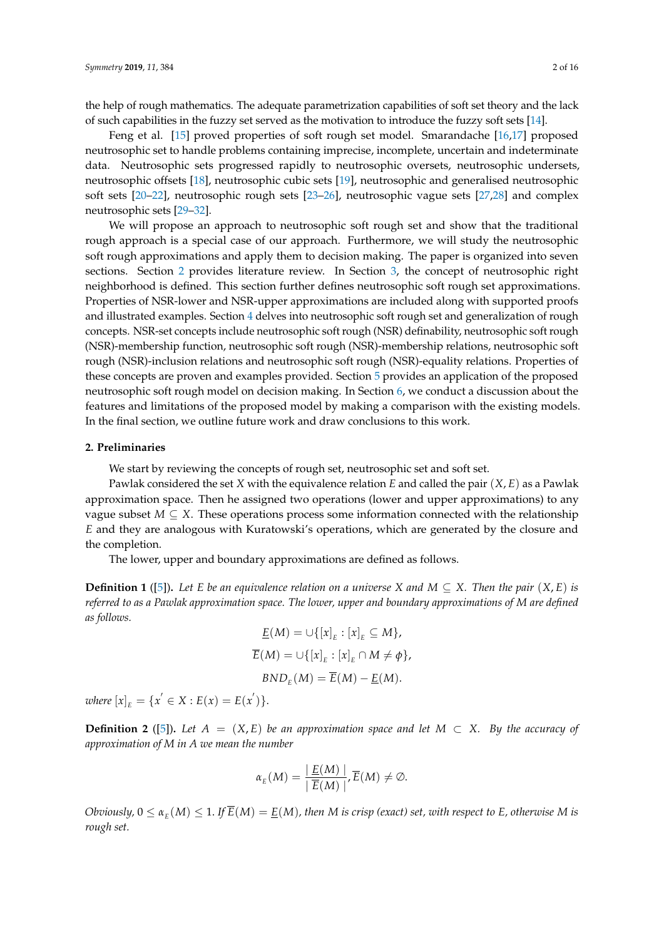the help of rough mathematics. The adequate parametrization capabilities of soft set theory and the lack of such capabilities in the fuzzy set served as the motivation to introduce the fuzzy soft sets [\[14\]](#page-14-9).

Feng et al. [\[15\]](#page-15-0) proved properties of soft rough set model. Smarandache [\[16](#page-15-1)[,17\]](#page-15-2) proposed neutrosophic set to handle problems containing imprecise, incomplete, uncertain and indeterminate data. Neutrosophic sets progressed rapidly to neutrosophic oversets, neutrosophic undersets, neutrosophic offsets [\[18\]](#page-15-3), neutrosophic cubic sets [\[19\]](#page-15-4), neutrosophic and generalised neutrosophic soft sets [\[20](#page-15-5)[–22\]](#page-15-6), neutrosophic rough sets [\[23](#page-15-7)[–26\]](#page-15-8), neutrosophic vague sets [\[27,](#page-15-9)[28\]](#page-15-10) and complex neutrosophic sets [\[29](#page-15-11)[–32\]](#page-15-12).

We will propose an approach to neutrosophic soft rough set and show that the traditional rough approach is a special case of our approach. Furthermore, we will study the neutrosophic soft rough approximations and apply them to decision making. The paper is organized into seven sections. Section [2](#page-1-0) provides literature review. In Section [3,](#page-2-0) the concept of neutrosophic right neighborhood is defined. This section further defines neutrosophic soft rough set approximations. Properties of NSR-lower and NSR-upper approximations are included along with supported proofs and illustrated examples. Section [4](#page-7-0) delves into neutrosophic soft rough set and generalization of rough concepts. NSR-set concepts include neutrosophic soft rough (NSR) definability, neutrosophic soft rough (NSR)-membership function, neutrosophic soft rough (NSR)-membership relations, neutrosophic soft rough (NSR)-inclusion relations and neutrosophic soft rough (NSR)-equality relations. Properties of these concepts are proven and examples provided. Section [5](#page-11-0) provides an application of the proposed neutrosophic soft rough model on decision making. In Section [6,](#page-12-0) we conduct a discussion about the features and limitations of the proposed model by making a comparison with the existing models. In the final section, we outline future work and draw conclusions to this work.

## <span id="page-1-0"></span>**2. Preliminaries**

We start by reviewing the concepts of rough set, neutrosophic set and soft set.

Pawlak considered the set *X* with the equivalence relation *E* and called the pair  $(X, E)$  as a Pawlak approximation space. Then he assigned two operations (lower and upper approximations) to any vague subset  $M \subseteq X$ . These operations process some information connected with the relationship *E* and they are analogous with Kuratowski's operations, which are generated by the closure and the completion.

The lower, upper and boundary approximations are defined as follows.

**Definition 1** ([\[5\]](#page-14-4)). Let *E* be an equivalence relation on a universe *X* and  $M \subseteq X$ . Then the pair  $(X, E)$  is *referred to as a Pawlak approximation space. The lower, upper and boundary approximations of M are defined as follows.*

$$
\underline{E}(M) = \cup \{ [x]_E : [x]_E \subseteq M \},
$$
  

$$
\overline{E}(M) = \cup \{ [x]_E : [x]_E \cap M \neq \phi \},
$$
  

$$
BND_E(M) = \overline{E}(M) - \underline{E}(M).
$$

 $where [x]_E = \{x' \in X : E(x) = E(x')\}.$ 

**Definition 2** ([\[5\]](#page-14-4)). Let  $A = (X, E)$  be an approximation space and let  $M \subset X$ . By the accuracy of *approximation of M in A we mean the number*

$$
\alpha_{E}(M) = \frac{E(M)}{E(M)} \frac{1}{E}(M) \neq \emptyset.
$$

*Obviously,*  $0 \le a_E(M) \le 1$ . If  $\overline{E}(M) = \underline{E}(M)$ , then M is crisp (exact) set, with respect to E, otherwise M is *rough set.*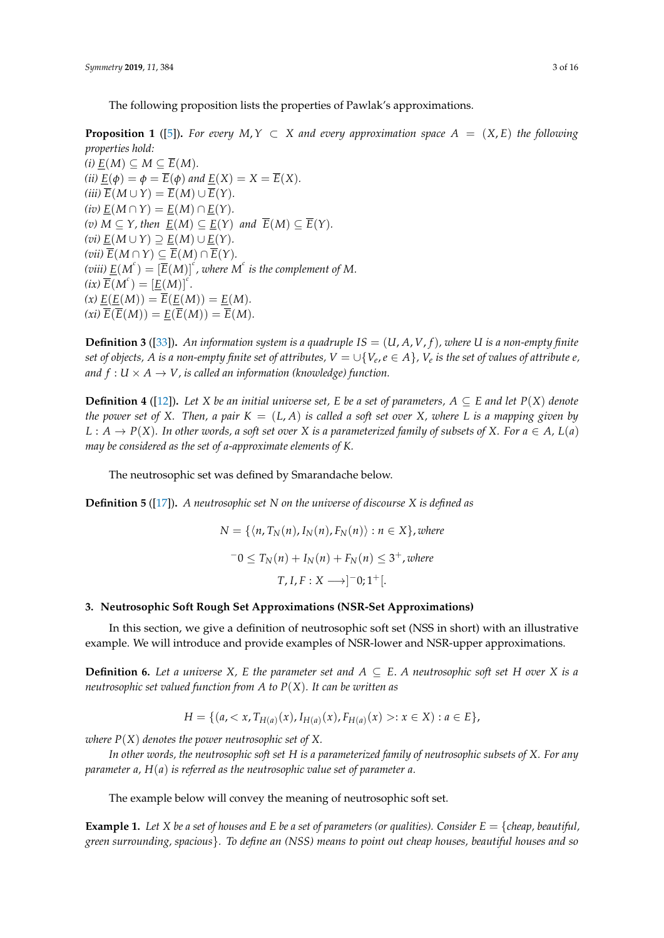The following proposition lists the properties of Pawlak's approximations.

**Proposition 1** ([\[5\]](#page-14-4)). For every  $M, Y \subset X$  and every approximation space  $A = (X, E)$  the following *properties hold:*

 $(i)$   $\underline{E}(M)$  ⊆  $M$  ⊆  $\overline{E}(M)$ *. (ii)*  $\underline{E}(\phi) = \phi = \overline{E}(\phi)$  *and*  $\underline{E}(X) = X = \overline{E}(X)$ *.*  $(iii)$   $\overline{E}(M \cup Y) = \overline{E}(M) \cup \overline{E}(Y)$ .  $(iv) E(M \cap Y) = E(M) \cap E(Y)$ . *(v) M* ⊆ *Y, then*  $\underline{E}(M) ⊆ \underline{E}(Y)$  *and*  $\overline{E}(M) ⊆ \overline{E}(Y)$ *.*  $(vi) E(M \cup Y) \supseteq E(M) \cup E(Y)$ .  $(vii)$   $\overline{E}(M ∩ Y)$  ⊆  $\overline{E}(M) ∩ \overline{E}(Y)$ *. (viii)*  $\underline{E}(M^c) = [\overline{E}(M)]^c$  , where  $M^c$  is the complement of M.  $f(ix) \overline{E}(M^c) = [\underline{E}(M)]^c$ .  $f(x) \underline{E}(E(M)) = \overline{E}(E(M)) = E(M).$  $f(x_i) \overline{E}(\overline{E}(M)) = E(\overline{E}(M)) = \overline{E}(M).$ 

**Definition 3** ([\[33\]](#page-15-13)). An information system is a quadruple  $IS = (U, A, V, f)$ , where U is a non-empty finite  $s$ et of objects,  $A$  is a non-empty finite set of attributes,  $V=\cup\{V_e,e\in A\}$ ,  $V_e$  is the set of values of attribute  $e,$ *and*  $f: U \times A \rightarrow V$ , *is called an information (knowledge) function.* 

**Definition 4** ([\[12\]](#page-14-7)). Let *X* be an initial universe set, *E* be a set of parameters,  $A \subseteq E$  and let  $P(X)$  denote *the power set of X.* Then, a pair  $K = (L, A)$  *is called a soft set over X, where L is a mapping given by*  $L : A \rightarrow P(X)$ *. In other words, a soft set over X is a parameterized family of subsets of X. For*  $a \in A$ *, L(a) may be considered as the set of a-approximate elements of K.*

The neutrosophic set was defined by Smarandache below.

**Definition 5** ([\[17\]](#page-15-2))**.** *A neutrosophic set N on the universe of discourse X is defined as*

$$
N = \{ \langle n, T_N(n), I_N(n), F_N(n) \rangle : n \in X \}, where
$$
  

$$
-0 \le T_N(n) + I_N(n) + F_N(n) \le 3^+, where
$$
  

$$
T, I, F: X \longrightarrow ]-0; 1^+[.
$$

### <span id="page-2-0"></span>**3. Neutrosophic Soft Rough Set Approximations (NSR-Set Approximations)**

In this section, we give a definition of neutrosophic soft set (NSS in short) with an illustrative example. We will introduce and provide examples of NSR-lower and NSR-upper approximations.

**Definition 6.** Let a universe *X*, *E* the parameter set and  $A \subseteq E$ . *A* neutrosophic soft set *H* over *X* is a *neutrosophic set valued function from A to P*(*X*)*. It can be written as*

$$
H = \{ (a, < x, T_{H(a)}(x), I_{H(a)}(x), F_{H(a)}(x) > : x \in X) : a \in E \},
$$

*where P*(*X*) *denotes the power neutrosophic set of X.*

*In other words, the neutrosophic soft set H is a parameterized family of neutrosophic subsets of X. For any parameter a, H*(*a*) *is referred as the neutrosophic value set of parameter a.*

The example below will convey the meaning of neutrosophic soft set.

**Example 1.** Let X be a set of houses and E be a set of parameters (or qualities). Consider  $E = \{cheap, beautiful,$ *green surrounding, spacious*}*. To define an (NSS) means to point out cheap houses, beautiful houses and so*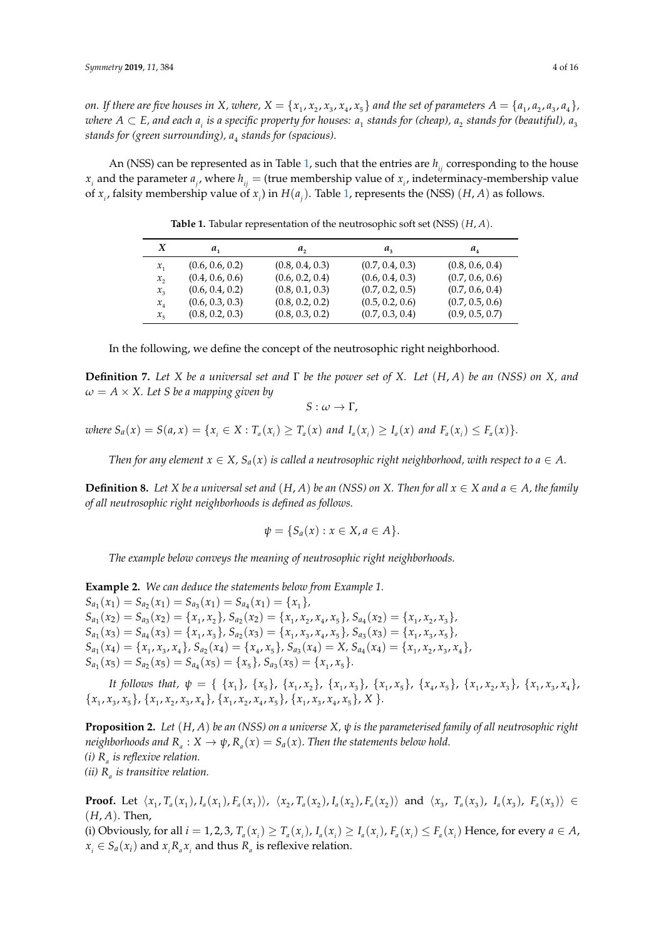on. If there are five houses in X, where,  $X=\{x_1,x_2,x_3,x_4,x_5\}$  and the set of parameters  $A=\{a_1,a_2,a_3,a_4\}$ ,  $w$ here  $A\subset E$ , and each  $a_i$  is a specific property for houses:  $a_1$  stands for (cheap),  $a_2$  stands for (beautiful),  $a_3$ *stands for (green surrounding), a*<sup>4</sup> *stands for (spacious).*

<span id="page-3-0"></span>An (NSS) can be represented as in Table [1,](#page-3-0) such that the entries are  $h_{ii}$  corresponding to the house  $x_i$  and the parameter  $a_j$ , where  $h_{ij}$  = (true membership value of  $x_i$ , indeterminacy-membership value of  $x_i$ , falsity membership value of  $x_i$ ) in  $H(a_i)$ . Table [1,](#page-3-0) represents the (NSS) (*H*, *A*) as follows.

| X       | $a_{1}$         | а,              | $a_{\rm z}$     | $a_{\scriptscriptstyle A}$ |
|---------|-----------------|-----------------|-----------------|----------------------------|
| $x_{1}$ | (0.6, 0.6, 0.2) | (0.8, 0.4, 0.3) | (0.7, 0.4, 0.3) | (0.8, 0.6, 0.4)            |
| x,      | (0.4, 0.6, 0.6) | (0.6, 0.2, 0.4) | (0.6, 0.4, 0.3) | (0.7, 0.6, 0.6)            |
| $x_{3}$ | (0.6, 0.4, 0.2) | (0.8, 0.1, 0.3) | (0.7, 0.2, 0.5) | (0.7, 0.6, 0.4)            |
| $x_{4}$ | (0.6, 0.3, 0.3) | (0.8, 0.2, 0.2) | (0.5, 0.2, 0.6) | (0.7, 0.5, 0.6)            |
| $x_{5}$ | (0.8, 0.2, 0.3) | (0.8, 0.3, 0.2) | (0.7, 0.3, 0.4) | (0.9, 0.5, 0.7)            |

**Table 1.** Tabular representation of the neutrosophic soft set (NSS) (*H*, *A*).

In the following, we define the concept of the neutrosophic right neighborhood.

**Definition 7.** *Let X be a universal set and* Γ *be the power set of X. Let* (*H*, *A*) *be an (NSS) on X, and*  $\omega = A \times X$ . Let *S* be a mapping given by

 $S: \omega \to \Gamma$ ,

where  $S_a(x) = S(a, x) = \{x_i \in X : T_a(x_i) \ge T_a(x) \text{ and } I_a(x_i) \ge I_a(x) \text{ and } F_a(x_i) \le F_a(x)\}.$ 

*Then for any element*  $x \in X$ ,  $S_a(x)$  *is called a neutrosophic right neighborhood, with respect to a*  $\in$  *A*.

**Definition 8.** Let *X* be a universal set and  $(H, A)$  be an (NSS) on *X*. Then for all  $x \in X$  and  $a \in A$ , the family *of all neutrosophic right neighborhoods is defined as follows.*

$$
\psi = \{S_a(x) : x \in X, a \in A\}.
$$

*The example below conveys the meaning of neutrosophic right neighborhoods.*

**Example 2.** *We can deduce the statements below from Example 1.*  $S_{a_1}(x_1) = S_{a_2}(x_1) = S_{a_3}(x_1) = S_{a_4}(x_1) = \{x_1\},\$  $S_{a_1}(x_2) = S_{a_3}(x_2) = \{x_1, x_2\}, S_{a_2}(x_2) = \{x_1, x_2, x_4, x_5\}, S_{a_4}(x_2) = \{x_1, x_2, x_3\},$  $S_{a_1}(x_3) = S_{a_4}(x_3) = \{x_1, x_3\}, S_{a_2}(x_3) = \{x_1, x_3, x_4, x_5\}, S_{a_3}(x_3) = \{x_1, x_3, x_5\},$  $S_{a_1}(x_4) = \{x_1, x_3, x_4\}, S_{a_2}(x_4) = \{x_4, x_5\}, S_{a_3}(x_4) = X, S_{a_4}(x_4) = \{x_1, x_2, x_3, x_4\},$  $S_{a_1}(x_5) = S_{a_2}(x_5) = S_{a_4}(x_5) = \{x_5\}, S_{a_3}(x_5) = \{x_1, x_5\}.$ 

It follows that,  $\psi = \{ \{x_1\}, \{x_5\}, \{x_1, x_2\}, \{x_1, x_3\}, \{x_1, x_5\}, \{x_4, x_5\}, \{x_1, x_2, x_3\}, \{x_1, x_3, x_4\}$  $\{x_1, x_3, x_5\}, \{x_1, x_2, x_3, x_4\}, \{x_1, x_2, x_4, x_5\}, \{x_1, x_3, x_4, x_5\}, X\}.$ 

**Proposition 2.** *Let* (*H*, *A*) *be an (NSS) on a universe X, ψ is the parameterised family of all neutrosophic right neighborhoods and*  $R_a: X \to \psi$ ,  $R_a(x) = S_a(x)$ . Then the statements below hold. *(i) R<sup>a</sup> is reflexive relation. (ii) R<sup>a</sup> is transitive relation.*

**Proof.** Let  $\langle x_1, T_a(x_1), I_a(x_1), F_a(x_1) \rangle$ ,  $\langle x_2, T_a(x_2), I_a(x_2), F_a(x_2) \rangle$  and  $\langle x_3, T_a(x_3), I_a(x_3), F_a(x_3) \rangle \in$ (*H*, *A*). Then,

(i) Obviously, for all  $i = 1, 2, 3, T_a(x_i) \ge T_a(x_i)$ ,  $I_a(x_i) \ge I_a(x_i)$ ,  $F_a(x_i) \le F_a(x_i)$  Hence, for every  $a \in A$ ,  $x_i \in S_a(x_i)$  and  $x_i R_a x_i$  and thus  $R_a$  is reflexive relation.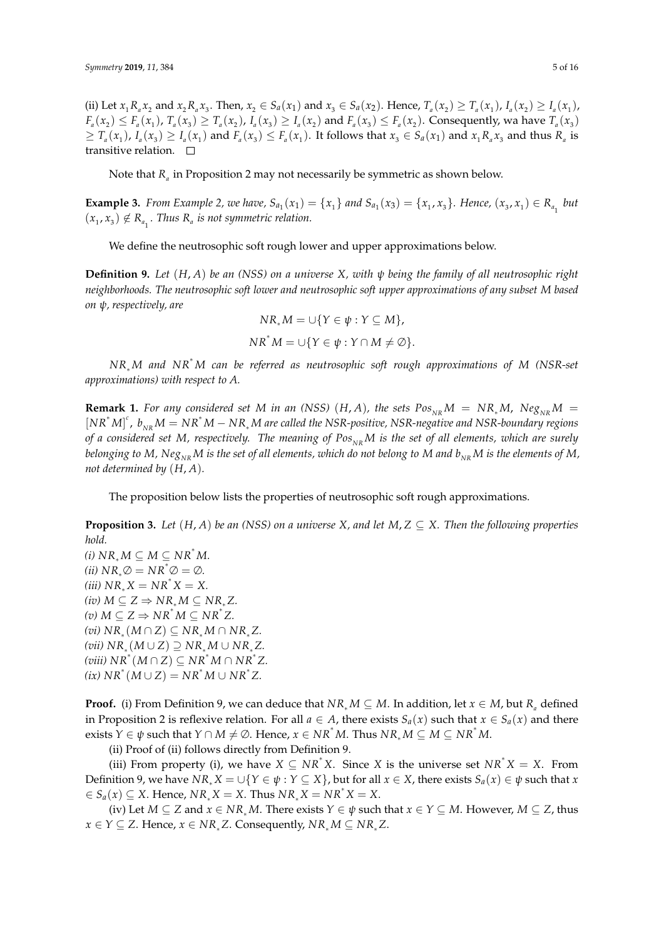(ii) Let  $x_1 R_a x_2$  and  $x_2 R_a x_3$ . Then,  $x_2 \in S_a(x_1)$  and  $x_3 \in S_a(x_2)$ . Hence,  $T_a(x_2) \ge T_a(x_1)$ ,  $I_a(x_2) \ge I_a(x_1)$ ,  $F_a(x_2) \le F_a(x_1)$ ,  $T_a(x_3) \ge T_a(x_2)$ ,  $I_a(x_3) \ge I_a(x_2)$  and  $F_a(x_3) \le F_a(x_2)$ . Consequently, wa have  $T_a(x_3)$  $\geq T_a(x_1)$ ,  $I_a(x_3) \geq I_a(x_1)$  and  $F_a(x_3) \leq F_a(x_1)$ . It follows that  $x_3 \in S_a(x_1)$  and  $x_1 R_a x_3$  and thus  $R_a$  is transitive relation.  $\square$ 

Note that *R<sup>a</sup>* in Proposition 2 may not necessarily be symmetric as shown below.

**Example 3.** From Example 2, we have,  $S_{a_1}(x_1) = \{x_1\}$  and  $S_{a_1}(x_3) = \{x_1, x_3\}$ . Hence,  $(x_3, x_1) \in R_{a_1}$  but  $(x_1, x_3) \notin R_{a_1}$ . Thus  $R_a$  is not symmetric relation.

We define the neutrosophic soft rough lower and upper approximations below.

**Definition 9.** *Let* (*H*, *A*) *be an (NSS) on a universe X, with ψ being the family of all neutrosophic right neighborhoods. The neutrosophic soft lower and neutrosophic soft upper approximations of any subset M based on ψ, respectively, are*

$$
NR_*M = \cup \{ Y \in \psi : Y \subseteq M \},\newline NR^*M = \cup \{ Y \in \psi : Y \cap M \neq \emptyset \}.
$$

*NR*<sup>∗</sup> *<sup>M</sup> and NR*<sup>∗</sup> *<sup>M</sup> can be referred as neutrosophic soft rough approximations of <sup>M</sup> (NSR-set approximations) with respect to A.*

**Remark 1.** For any considered set M in an (NSS)  $(H, A)$ , the sets  $Pos_{NP}M = NR_{*}M$ ,  $Neg_{NP}M =$  $[NR^*M]^c$ ,  $b_{NR}M = NR^*M - NR_*M$  are called the NSR-positive, NSR-negative and NSR-boundary regions *of a considered set M, respectively. The meaning of Pos*<sub>NR</sub>M *is the set of all elements, which are surely belonging to*  $M$ ,  $Neg_{NR}M$  *is the set of all elements, which do not belong to*  $M$  *and*  $b_{NR}M$  *is the elements of*  $M$ , *not determined by* (*H*, *A*)*.*

The proposition below lists the properties of neutrosophic soft rough approximations.

**Proposition 3.** Let  $(H, A)$  be an (NSS) on a universe X, and let  $M, Z \subseteq X$ . Then the following properties *hold.*

*(i)*  $NR_*M ⊆ M ⊆ NR^*M$ .  $(iii) NR_*\emptyset = NR^*\emptyset = \emptyset.$  $(iii) NR_*X = NR^*X = X.$  $(iv) M ⊆ Z ⇒ NR_*M ⊆ NR_*Z.$  $(v)$  *M* ⊆ *Z*  $\Rightarrow$  *NR*<sup>∗</sup> *M* ⊆ *NR*<sup>∗</sup> *Z*.  $(vi)$   $NR_* (M ∩ Z) ⊆ NR_*M ∩ NR_*Z$ .  $(vii)$   $NR_* (M ∪ Z) \supseteq NR_* M ∪ NR_* Z.$  $(viii) NR^*(M ∩ Z) ⊆ NR^*M ∩ NR^*Z$ .  $(ix) NR^*(M \cup Z) = NR^*M \cup NR^*Z.$ 

**Proof.** (i) From Definition 9, we can deduce that  $NR_*M \subseteq M$ . In addition, let  $x \in M$ , but  $R_a$  defined in Proposition 2 is reflexive relation. For all  $a \in A$ , there exists  $S_a(x)$  such that  $x \in S_a(x)$  and there exists  $Y \in \psi$  such that  $Y \cap M \neq \emptyset$ . Hence,  $x \in NR^*M$ . Thus  $NR_*M \subseteq M \subseteq NR^*M$ .

(ii) Proof of (ii) follows directly from Definition 9.

(iii) From property (i), we have  $X \subseteq NR^*X$ . Since *X* is the universe set  $NR^*X = X$ . From Definition 9, we have  $NR_*X = \bigcup \{Y \in \psi : Y \subseteq X\}$ , but for all  $x \in X$ , there exists  $S_a(x) \in \psi$  such that *x*  $\leq S_a(x) \subseteq X$ . Hence,  $NR_*X = X$ . Thus  $NR_*X = NR^*X = X$ .

(iv) Let  $M \subseteq Z$  and  $x \in NR_*M$ . There exists  $Y \in \psi$  such that  $x \in Y \subseteq M$ . However,  $M \subseteq Z$ , thus *x* ∈ *Y* ⊆ *Z*. Hence, *x* ∈ *NR*<sup>∗</sup>*Z***. Consequently,** *NR***<sup>∗</sup><b>***M* ⊆ *NR*<sup>∗</sup>*Z***.**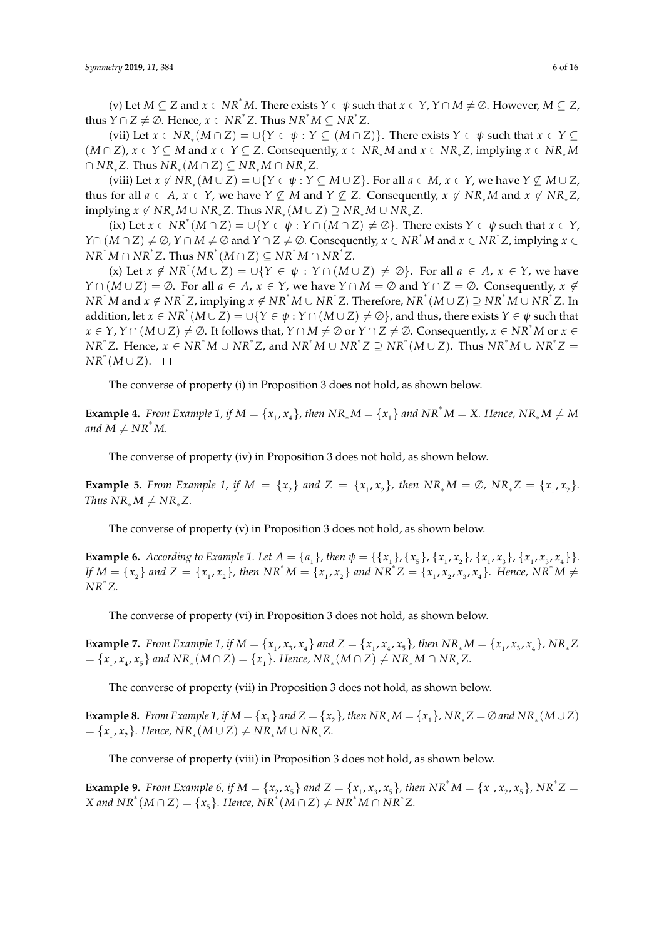(v) Let  $M \subseteq Z$  and  $x \in NR^*M$ . There exists  $Y \in \psi$  such that  $x \in Y$ ,  $Y \cap M \neq \emptyset$ . However,  $M \subseteq Z$ ,  $x^*$  *thus Y* ∩ *Z*  $\neq \emptyset$ . Hence,  $x \in NR^*Z$ . Thus  $NR^*M \subseteq NR^*Z$ .

(vii) Let *x* ∈ *NR*<sup>∗</sup> (*M* ∩ *Z*) = ∪{*Y* ∈ *ψ* : *Y* ⊆ (*M* ∩ *Z*)}. There exists *Y* ∈ *ψ* such that *x* ∈ *Y* ⊆  $(M \cap Z)$ ,  $x \in Y \subseteq M$  and  $x \in Y \subseteq Z$ . Consequently,  $x \in NR_*M$  and  $x \in NR_*Z$ , implying  $x \in NR_*M$  $\cap$   $NR_*Z$ . Thus  $NR_*(M \cap Z)$  ⊆  $NR_*M \cap NR_*Z$ .

(viii) Let  $x \notin NR_*(M \cup Z) = \cup \{Y \in \psi : Y \subseteq M \cup Z\}$ . For all  $a \in M$ ,  $x \in Y$ , we have  $Y \not\subseteq M \cup Z$ , thus for all  $a \in A$ ,  $x \in Y$ , we have  $Y \nsubseteq M$  and  $Y \nsubseteq Z$ . Consequently,  $x \notin NR_*M$  and  $x \notin NR_*Z$ ,  $\mathbb{E}[\text{implying } x \notin NR_*M \cup NR_*Z$ . Thus  $NR_*(M \cup Z) \supseteq NR_*M \cup NR_*Z$ .

 $(X, Y)$  Let  $x \in NR^*(M \cap Z) = \bigcup \{ Y \in \psi : Y \cap (M \cap Z) \neq \emptyset \}$ . There exists  $Y \in \psi$  such that  $x \in Y$ , *Y* ∩  $(M \cap Z) \neq \emptyset$ , *Y* ∩  $M \neq \emptyset$  and *Y* ∩  $Z \neq \emptyset$ . Consequently,  $x \in NR^*M$  and  $x \in NR^*Z$ , implying  $x \in$  $\overline{NR^*M} \cap \overline{NR^*Z}.$  Thus  $\overline{NR^* (M \cap Z)} \subseteq \overline{NR^*M} \cap \overline{NR^*Z}.$ 

(x) Let  $x \notin NR^*(M \cup Z) = \bigcup \{ Y \in \psi : Y \cap (M \cup Z) \neq \emptyset \}$ . For all  $a \in A$ ,  $x \in Y$ , we have *Y* ∩  $(M ∪ Z) = ∅$ . For all  $a ∈ A$ ,  $x ∈ Y$ , we have  $Y ∩ M = ∅$  and  $Y ∩ Z = ∅$ . Consequently,  $x ∉$  $N R^* M$  and  $x \notin NR^* Z$ , implying  $x \notin NR^* M \cup NR^* Z$ . Therefore,  $NR^* (M \cup Z) \supseteq NR^* M \cup NR^* Z$ . In addition, let  $x \in NR^*(M \cup Z) = \cup \{Y \in \psi : Y \cap (M \cup Z) \neq \emptyset\}$ , and thus, there exists  $Y \in \psi$  such that  $x \in Y$ ,  $Y \cap (M \cup Z) \neq \emptyset$ . It follows that,  $Y \cap M \neq \emptyset$  or  $Y \cap Z \neq \emptyset$ . Consequently,  $x \in NR^*M$  or  $x \in$  $NR^*Z$ . Hence,  $x \in NR^*M \cup NR^*Z$ , and  $NR^*M \cup NR^*Z \supseteq NR^*(M \cup Z)$ . Thus  $NR^*M \cup NR^*Z =$  $NR^*(M\cup Z)$ .

The converse of property (i) in Proposition 3 does not hold, as shown below.

**Example 4.** From Example 1, if  $M = \{x_1, x_4\}$ , then  $NR_*M = \{x_1\}$  and  $NR^*M = X$ . Hence,  $NR_*M \neq M$ *and*  $M \neq NR^*M$ .

The converse of property (iv) in Proposition 3 does not hold, as shown below.

**Example 5.** From Example 1, if  $M = \{x_2\}$  and  $Z = \{x_1, x_2\}$ , then  $NR_*M = \emptyset$ ,  $NR_*Z = \{x_1, x_2\}$ . *Thus NR*<sup>∗</sup> $M \neq NR^*Z$ .

The converse of property (v) in Proposition 3 does not hold, as shown below.

**Example 6.** According to Example 1. Let  $A = \{a_1\}$ , then  $\psi = \{\{x_1\}, \{x_5\}, \{x_1, x_2\}, \{x_1, x_3\}, \{x_1, x_3, x_4\}\}\.$ If  $M = \{x_2\}$  and  $Z = \{x_1, x_2\}$ , then  $NR^*M = \{x_1, x_2\}$  and  $NR^*Z = \{x_1, x_2, x_3, x_4\}$ . Hence,  $NR^*M \neq$ *NR*<sup>∗</sup> *Z.*

The converse of property (vi) in Proposition 3 does not hold, as shown below.

**Example 7.** From Example 1, if  $M = \{x_1, x_3, x_4\}$  and  $Z = \{x_1, x_4, x_5\}$ , then  $NR_*M = \{x_1, x_3, x_4\}$ ,  $NR_*Z$  $=\{x_1, x_4, x_5\}$  and  $NR_*(M \cap Z) = \{x_1\}$ . Hence,  $NR_*(M \cap Z) \neq NR_*M \cap NR_*Z$ .

The converse of property (vii) in Proposition 3 does not hold, as shown below.

**Example 8.** From Example 1, if  $M = \{x_1\}$  and  $Z = \{x_2\}$ , then  $NR_*M = \{x_1\}$ ,  $NR_*Z = \emptyset$  and  $NR_* (M \cup Z)$  $= {x_1, x_2}$ . Hence,  $NR_*(M ∪ Z) ≠ NR_*M ∪ NR_*Z$ .

The converse of property (viii) in Proposition 3 does not hold, as shown below.

**Example 9.** From Example 6, if  $M = \{x_2, x_5\}$  and  $Z = \{x_1, x_3, x_5\}$ , then  $NR^*M = \{x_1, x_2, x_5\}$ ,  $NR^*Z =$ *X* and  $NR^*(M ∩ Z) = \{x_5\}$ *. Hence, NR*<sup>∗</sup> $(M ∩ Z) ≠ NR^*M ∩ NR^*Z$ *.*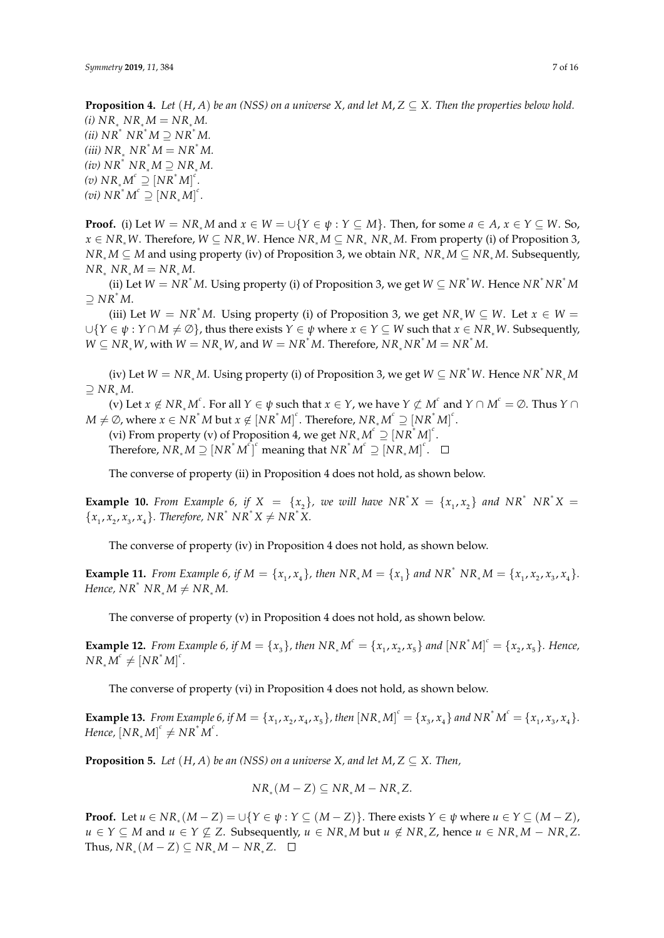**Proposition 4.** Let  $(H, A)$  be an (NSS) on a universe X, and let  $M, Z \subseteq X$ . Then the properties below hold. *(i)*  $NR_* NR_*M = NR_*M$ .  $(iii) NR^* NR^*M ⊇ NR^*M$ .  $(iii) NR_* NR^*M = NR^*M$ .  $(iv) NR^* NR_*M ⊇ NR_*M$ .  $f(v)$   $NR_*M^c \supseteq [NR^*M]^c$ .  $(vi) NR^*M^c \supseteq [NR_*M]^c$ .

**Proof.** (i) Let  $W = NR_*M$  and  $x \in W = \bigcup \{Y \in \psi : Y \subseteq M\}$ . Then, for some  $a \in A$ ,  $x \in Y \subseteq W$ . So, *x* ∈ *NR*∗*W*. Therefore, *W* ⊆ *NR*∗*W*. Hence *NR*<sup>∗</sup> *M* ⊆ *NR*<sup>∗</sup> *NR*<sup>∗</sup> *M*. From property (i) of Proposition 3, *NR*<sup>∗</sup> *M* ⊆ *M* and using property (iv) of Proposition 3, we obtain *NR*<sup>∗</sup> *NR*<sup>∗</sup> *M* ⊆ *NR*<sup>∗</sup> *M*. Subsequently,  $NR_* NR_*M = NR_*M$ .

(ii) Let  $W = NR^*M$ . Using property (i) of Proposition 3, we get  $W \subseteq NR^*W$ . Hence  $NR^*NR^*M$  $\ni$  *NR<sup>∗</sup>M.* 

(iii) Let  $W = NR^*M$ . Using property (i) of Proposition 3, we get  $NR_*W \subseteq W$ . Let  $x \in W$  $\cup$ {*Y* ∈  $\psi$  : *Y* ∩ *M*  $\neq$  ⊘}, thus there exists *Y* ∈  $\psi$  where *x* ∈ *Y* ⊆ *W* such that *x* ∈ *NR*<sup>∗</sup>*W*. Subsequently, *W* ⊆ *NR*<sup>∗</sup>*W***, with** *W* **=** *NR***<sup>∗</sup><b>***W*, and *W* = *NR*<sup>\*</sup>*M***. Therefore,** *NR***<sup>∗</sup><b>***NR***<sup>\*</sup>***M* = *NR*<sup>\*</sup>*M*.

(iv) Let  $W = NR_*M$ . Using property (i) of Proposition 3, we get  $W \subseteq NR^*W$ . Hence  $NR^*NR_*M$ ⊇ *NR*<sup>∗</sup> *M*.

(v) Let  $x \notin NR_*M^c$ . For all  $Y \in \psi$  such that  $x \in Y$ , we have  $Y \not\subset M^c$  and  $Y \cap M^c = \emptyset$ . Thus  $Y \cap$  $M \neq \emptyset$ , where  $x \in NR^*M$  but  $x \notin [NR^*M]^c$ . Therefore,  $NR_*M^c \supseteq [NR^*M]^c$ .

(vi) From property (v) of Proposition 4, we get  $N R_* M^c \supseteq [N R^* M]^c$ .

 $\text{Therefore, } NR_*M \supseteq [NR^*M^c]^c$  meaning that  $NR^*M^c \supseteq [NR_*M]^c$ .

The converse of property (ii) in Proposition 4 does not hold, as shown below.

**Example 10.** From Example 6, if  $X = \{x_2\}$ , we will have  $NR^*X = \{x_1, x_2\}$  and  $NR^*NK^*X = \{x_1, x_2\}$  ${x_1, x_2, x_3, x_4}$ . Therefore,  $NR^* NR^*X \neq NR^*X$ .

The converse of property (iv) in Proposition 4 does not hold, as shown below.

**Example 11.** From Example 6, if  $M = \{x_1, x_4\}$ , then  $NR_*M = \{x_1\}$  and  $NR^* NR_*M = \{x_1, x_2, x_3, x_4\}$ . *Hence,*  $NR^*$   $NR_*M \neq NR_*M$ .

The converse of property (v) in Proposition 4 does not hold, as shown below.

**Example 12.** From Example 6, if  $M = \{x_3\}$ , then  $NR_*M^c = \{x_1, x_2, x_5\}$  and  $[NR^*M]^c = \{x_2, x_5\}$ . Hence,  $NR_*\tilde{M}^c\neq \left[ NR^*M\right]^c.$ 

The converse of property (vi) in Proposition 4 does not hold, as shown below.

**Example 13.** From Example 6, if  $M = \{x_1, x_2, x_4, x_5\}$ , then  $[NR_*M]^c = \{x_3, x_4\}$  and  $NR^*M^c = \{x_1, x_3, x_4\}$ . *Hence,*  $[NR_*M]^c \neq NR^*M^c$ .

**Proposition 5.** *Let*  $(H, A)$  *be an (NSS) on a universe X, and let*  $M, Z \subseteq X$ *. Then,* 

$$
NR_*(M-Z) \subseteq NR_*M - NR_*Z.
$$

**Proof.** Let  $u \in NR_*(M - Z) = \cup \{Y \in \psi : Y \subseteq (M - Z)\}$ . There exists  $Y \in \psi$  where  $u \in Y \subseteq (M - Z)$ , *u* ∈ *Y* ⊆ *M* and *u* ∈ *Y* ⊈ *Z*. Subsequently, *u* ∈ *NR*<sup>∗</sup> *M* but *u* ∉ *NR*<sup>∗</sup> *Z*, hence *u* ∈ *NR*<sup>∗</sup> *M* − *NR*<sup>∗</sup> *Z*.  $\text{Thus, } NR_*(M-Z) \subseteq NR_*M - NR_*Z.$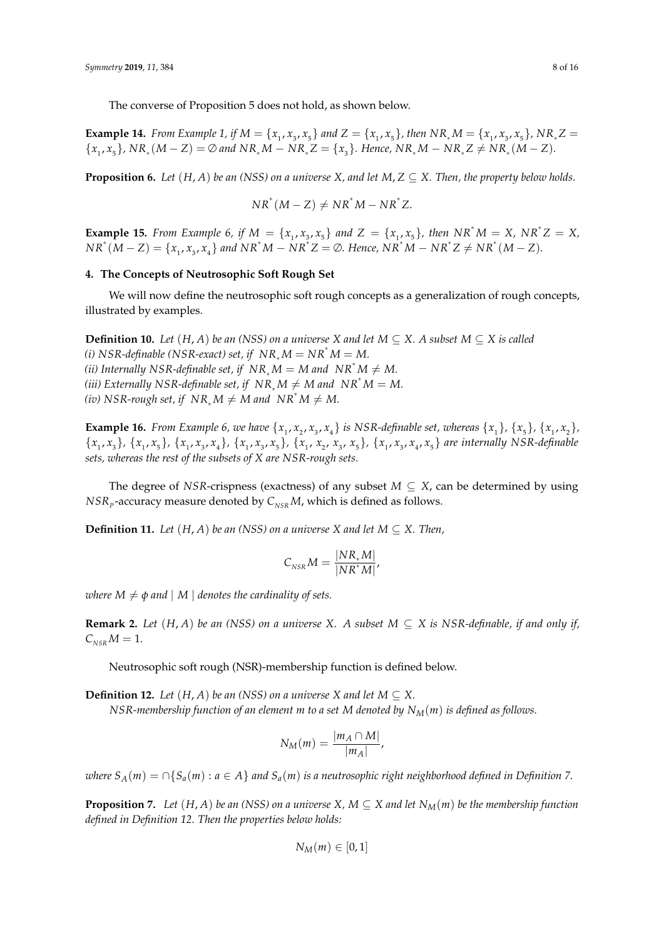The converse of Proposition 5 does not hold, as shown below.

**Example 14.** From Example 1, if  $M = \{x_1, x_3, x_5\}$  and  $Z = \{x_1, x_5\}$ , then  $NR_*M = \{x_1, x_3, x_5\}$ ,  $NR_*Z =$  ${x_1, x_5}$ ,  $NR_*(M - Z) = \emptyset$  and  $NR_*M - NR_*Z = {x_3}$ . Hence,  $NR_*M - NR_*Z \neq NR_*(M - Z)$ .

**Proposition 6.** *Let*  $(H, A)$  *be an (NSS) on a universe X*, and let *M*,  $Z \subseteq X$ . *Then, the property below holds.* 

$$
NR^*(M - Z) \neq NR^*M - NR^*Z.
$$

**Example 15.** From Example 6, if  $M = \{x_1, x_3, x_5\}$  and  $Z = \{x_1, x_5\}$ , then  $NR^*M = X$ ,  $NR^*Z = X$ ,  $N R^*(M - Z) = \{x_1, x_3, x_4\}$  and  $N R^* M - N R^* Z = \emptyset$ . Hence,  $N R^* M - N R^* Z \neq N R^*(M - Z)$ .

## <span id="page-7-0"></span>**4. The Concepts of Neutrosophic Soft Rough Set**

We will now define the neutrosophic soft rough concepts as a generalization of rough concepts, illustrated by examples.

**Definition 10.** *Let*  $(H, A)$  *be an (NSS) on a universe X and let*  $M \subseteq X$ *. A subset*  $M \subseteq X$  *is called (i) NSR-definable (NSR-exact) set, if*  $NR_*M = NR^*M = M$ . *(ii)* Internally NSR-definable set, if  $NR_*M = M$  and  $NR^*M \neq M$ . *(iii)* Externally NSR-definable set, if  $NR_*M \neq M$  and  $NR^*M = M$ . *(iv)* NSR-rough set, if  $NR_* M \neq M$  and  $NR^* M \neq M$ .

**Example 16.** From Example 6, we have  $\{x_1, x_2, x_3, x_4\}$  is NSR-definable set, whereas  $\{x_1\}$ ,  $\{x_5\}$ ,  $\{x_1, x_2\}$ ,  $\{x_1, x_3\}$ ,  $\{x_1, x_5\}$ ,  $\{x_1, x_3, x_4\}$ ,  $\{x_1, x_3, x_5\}$ ,  $\{x_1, x_2, x_3, x_5\}$ ,  $\{x_1, x_3, x_4, x_5\}$  are internally NSR-definable *sets, whereas the rest of the subsets of X are NSR-rough sets.*

The degree of *NSR*-crispness (exactness) of any subset  $M \subseteq X$ , can be determined by using  $NSR_{\textit{p}}$ -accuracy measure denoted by  $\textit{C}_{\textit{NSR}}M$ , which is defined as follows.

**Definition 11.** *Let*  $(H, A)$  *be an (NSS) on a universe X and let*  $M \subseteq X$ *. Then,* 

$$
C_{_{NSR}}M = \frac{|NR_*M|}{|NR^*M|},
$$

*where*  $M \neq \phi$  *and* |  $M$  | *denotes the cardinality of sets.* 

**Remark 2.** *Let*  $(H, A)$  *be an (NSS) on a universe X. A subset*  $M \subseteq X$  *is NSR-definable, if and only if,*  $C_{NSR} M = 1.$ 

Neutrosophic soft rough (NSR)-membership function is defined below.

**Definition 12.** *Let*  $(H, A)$  *be an (NSS) on a universe X and let*  $M \subseteq X$ .

*NSR-membership function of an element m to a set M denoted by*  $N_M(m)$  *is defined as follows.* 

$$
N_M(m) = \frac{|m_A \cap M|}{|m_A|},
$$

*where*  $S_A(m) = \bigcap \{S_a(m) : a \in A\}$  *and*  $S_a(m)$  *is a neutrosophic right neighborhood defined in Definition* 7.

**Proposition 7.** *Let*  $(H, A)$  *be an* (NSS) *on a universe*  $X, M \subseteq X$  *and let*  $N_M(m)$  *be the membership function defined in Definition 12. Then the properties below holds:*

$$
N_M(m) \in [0,1]
$$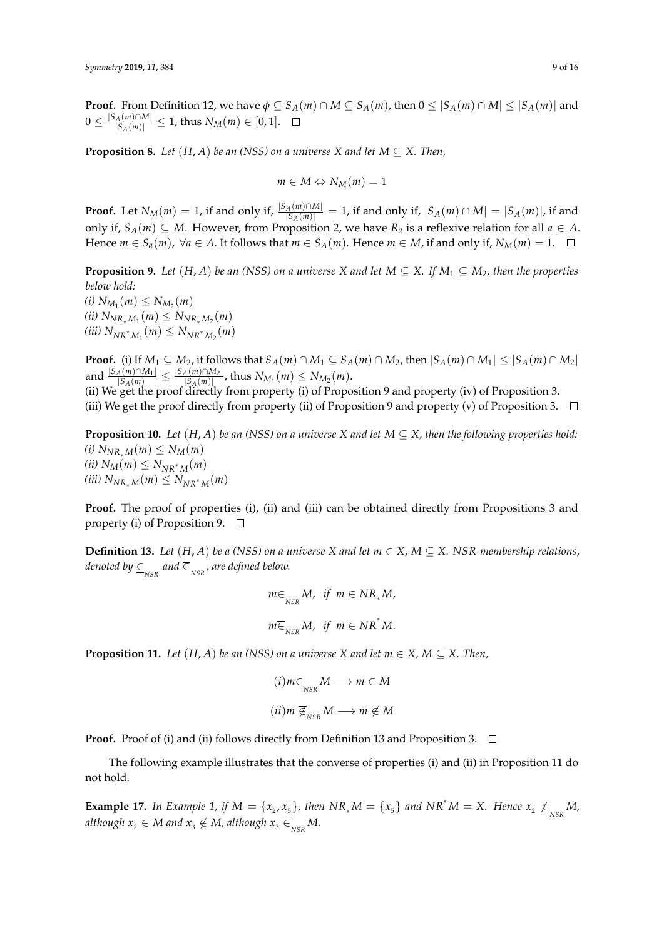**Proof.** From Definition 12, we have  $\phi \subseteq S_A(m) \cap M \subseteq S_A(m)$ , then  $0 \leq |S_A(m) \cap M| \leq |S_A(m)|$  and  $0\leq \frac{|S_A(m)\cap M|}{|S_A(m)|}\leq 1$ , thus  $N_M(m)\in [0,1].$ 

**Proposition 8.** *Let*  $(H, A)$  *be an (NSS) on a universe X and let*  $M \subseteq X$ *. Then,* 

$$
m\in M \Leftrightarrow N_M(m)=1
$$

**Proof.** Let  $N_M(m) = 1$ , if and only if,  $\frac{|S_A(m) \cap M|}{|S_A(m)|} = 1$ , if and only if,  $|S_A(m) \cap M| = |S_A(m)|$ , if and only if, *S*<sub>*A*</sub>(*m*) ⊆ *M*. However, from Proposition 2, we have  $R$ <sup>*a*</sup> is a reflexive relation for all *a* ∈ *A*. Hence  $m \in S_a(m)$ ,  $\forall a \in A$ . It follows that  $m \in S_A(m)$ . Hence  $m \in M$ , if and only if,  $N_M(m) = 1$ .  $\Box$ 

**Proposition 9.** Let  $(H, A)$  be an (NSS) on a universe *X* and let  $M \subseteq X$ . If  $M_1 \subseteq M_2$ , then the properties *below hold:*

 $(i) N_{M_1}(m) \leq N_{M_2}(m)$  $(iii) N_{NR_*M_1}(m) \leq N_{NR_*M_2}(m)$  $(iii) N_{NR^*M_1}(m) \leq N_{NR^*M_2}(m)$ 

**Proof.** (i) If  $M_1 \subseteq M_2$ , it follows that  $S_A(m) \cap M_1 \subseteq S_A(m) \cap M_2$ , then  $|S_A(m) \cap M_1| \leq |S_A(m) \cap M_2|$  $\frac{|S_A(m) \cap M_1|}{|S_A(m)|} \leq \frac{|S_A(m) \cap M_2|}{|S_A(m)|}$  $\frac{|S_A(m)| |M_2|}{|S_A(m)|}$ , thus  $N_{M_1}(m) \le N_{M_2}(m)$ .

(ii) We get the proof directly from property (i) of Proposition 9 and property (iv) of Proposition 3. (iii) We get the proof directly from property (ii) of Proposition 9 and property (v) of Proposition 3.  $\Box$ 

**Proposition 10.** *Let*  $(H, A)$  *be an (NSS) on a universe X and let*  $M \subseteq X$ *, then the following properties hold: (i)*  $N_{NR_*M}(m)$  ≤  $N_M(m)$ *(ii)*  $N_M(m)$  ≤  $N_{NR^*M}(m)$  $(iii)$   $N_{NR_*M}(m)$  ≤  $N_{NR^*M}(m)$ 

**Proof.** The proof of properties (i), (ii) and (iii) can be obtained directly from Propositions 3 and property (i) of Proposition 9.  $\Box$ 

**Definition 13.** *Let*  $(H, A)$  *be a (NSS) on a universe X and let*  $m \in X$ ,  $M \subseteq X$ . *NSR-membership relations*,  $d$ enoted by  $\mathcal{p}_{\mathsf{NSR}}^{\mathsf{R}}$  and  $\mathcal{\overline{e}}_{\mathsf{NSR}}^{\mathsf{R}}$ , are defined below.

$$
m \in N_{NSR} M, \text{ if } m \in NR_*M,
$$
  

$$
m \in N_{NSR} M, \text{ if } m \in NR^*M.
$$

**Proposition 11.** *Let*  $(H, A)$  *be an (NSS) on a universe X and let*  $m \in X$ ,  $M \subseteq X$ . *Then*,

$$
(i) m \in M \longrightarrow m \in M
$$

$$
(ii) m \nsubseteq_{NSR} M \longrightarrow m \notin M
$$

**Proof.** Proof of (i) and (ii) follows directly from Definition 13 and Proposition 3.  $\Box$ 

The following example illustrates that the converse of properties (i) and (ii) in Proposition 11 do not hold.

**Example 17.** In Example 1, if  $M = \{x_2, x_5\}$ , then  $NR_*M = \{x_5\}$  and  $NR^*M = X$ . Hence  $x_2 \nleq_{NSR} M$ ,  $\textit{although } x_2 \in M \textit{ and } x_3 \notin M \textit{, although } x_3 \mathrel{\overline{\in}}_{\textit{NSR}} M.$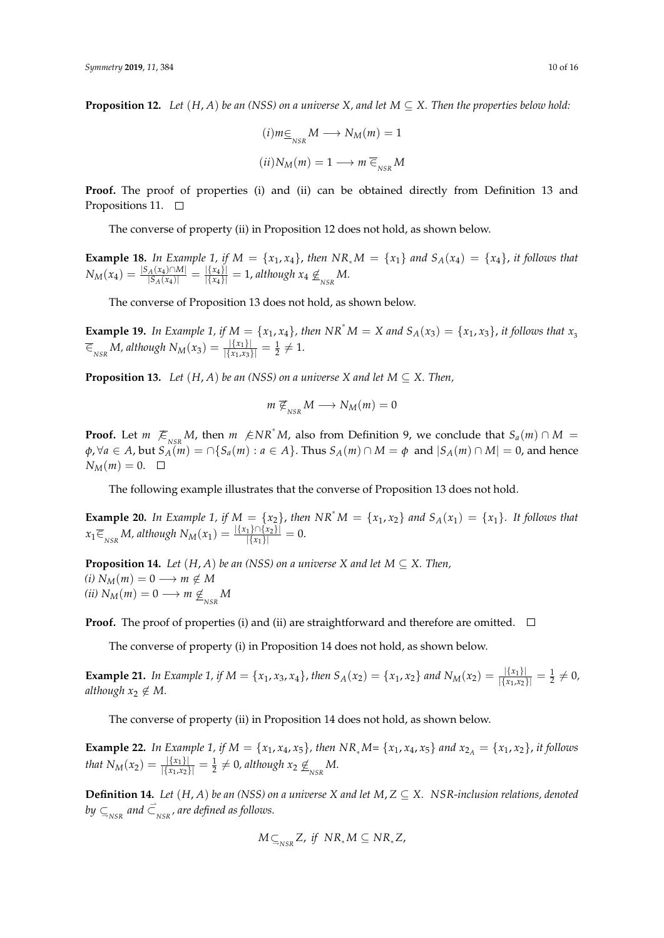**Proposition 12.** *Let*  $(H, A)$  *be an (NSS) on a universe X, and let*  $M \subseteq X$ . *Then the properties below hold:* 

$$
(i) m \underline{\in}_{NSR} M \longrightarrow N_M(m) = 1
$$

$$
(ii) N_M(m) = 1 \longrightarrow m \overline{\in}_{NSR} M
$$

**Proof.** The proof of properties (i) and (ii) can be obtained directly from Definition 13 and Propositions 11.  $\Box$ 

The converse of property (ii) in Proposition 12 does not hold, as shown below.

**Example 18.** In Example 1, if  $M = \{x_1, x_4\}$ , then  $NR_*M = \{x_1\}$  and  $S_A(x_4) = \{x_4\}$ , it follows that  $N_M(x_4) = \frac{|S_A(x_4) \cap M|}{|S_A(x_4)|}$  $\frac{|A(x_4) \cap M|}{|S_A(x_4)|} = \frac{|\{x_4\}|}{|\{x_4\}|} = 1$ , although  $x_4 \nsubseteq_{NSR} M$ .

The converse of Proposition 13 does not hold, as shown below.

**Example 19.** In Example 1, if  $M = \{x_1, x_4\}$ , then  $NR^*M = X$  and  $S_A(x_3) = \{x_1, x_3\}$ , it follows that  $x_3$  $\overline{\epsilon}_{_{NSR}}$  *M*, although  $N_M(x_3) = \frac{|\{x_1\}|}{|\{x_1, x_3\}|} = \frac{1}{2} \neq 1.$ 

**Proposition 13.** *Let*  $(H, A)$  *be an (NSS) on a universe X and let*  $M \subseteq X$ *. Then,* 

$$
m \not\in_{_{NSR}} M \longrightarrow N_M(m) = 0
$$

**Proof.** Let *m*  $\mathcal{F}_{NSR}$  *M*, then *m*  $\mathcal{F}_{NR}^* M$ , also from Definition 9, we conclude that  $S_a(m) \cap M =$  $\phi$ ,  $\forall a \in A$ , but  $S_A(m) = \bigcap \{S_a(m) : a \in A\}$ . Thus  $S_A(m) \cap M = \phi$  and  $|S_A(m) \cap M| = 0$ , and hence  $N_M(m) = 0.$   $\Box$ 

The following example illustrates that the converse of Proposition 13 does not hold.

**Example 20.** In Example 1, if  $M = \{x_2\}$ , then  $NR^*M = \{x_1, x_2\}$  and  $S_A(x_1) = \{x_1\}$ . It follows that  $x_1 \overline{\in}_{NSR} M$ , although  $N_M(x_1) = \frac{|\{x_1\} \cap \{x_2\}|}{|\{x_1\}|} = 0.$ 

**Proposition 14.** *Let*  $(H, A)$  *be an (NSS) on a universe X and let*  $M \subseteq X$ *. Then,*  $(i)$   $N_M(m) = 0 \longrightarrow m \notin M$  $(iii) N_M(m) = 0 \longrightarrow m \nleq N$ <sub>NSR</sub> M

**Proof.** The proof of properties (i) and (ii) are straightforward and therefore are omitted.  $\Box$ 

The converse of property (i) in Proposition 14 does not hold, as shown below.

**Example 21.** In Example 1, if  $M = \{x_1, x_3, x_4\}$ , then  $S_A(x_2) = \{x_1, x_2\}$  and  $N_M(x_2) = \frac{|\{x_1\}|}{|\{x_1, x_2\}|} = \frac{1}{2} \neq 0$ , *although*  $x_2 \notin M$ .

The converse of property (ii) in Proposition 14 does not hold, as shown below.

**Example 22.** In Example 1, if  $M = \{x_1, x_4, x_5\}$ , then  $NR_*M = \{x_1, x_4, x_5\}$  and  $x_{2A} = \{x_1, x_2\}$ , it follows *that*  $N_M(x_2) = \frac{|\{x_1\}|}{|\{x_1, x_2\}|} = \frac{1}{2} \neq 0$ , although  $x_2 \nleq N$ .

**Definition 14.** Let  $(H, A)$  be an (NSS) on a universe X and let  $M, Z \subseteq X$ . NSR-inclusion relations, denoted by  $\subseteq_{_{\it NSR}}$  and  $\vec{\subset}_{_{\it NSR}}$  , are defined as follows.

$$
M\subseteq_{NSR}Z, \text{ if } NR_*M\subseteq NR_*Z,
$$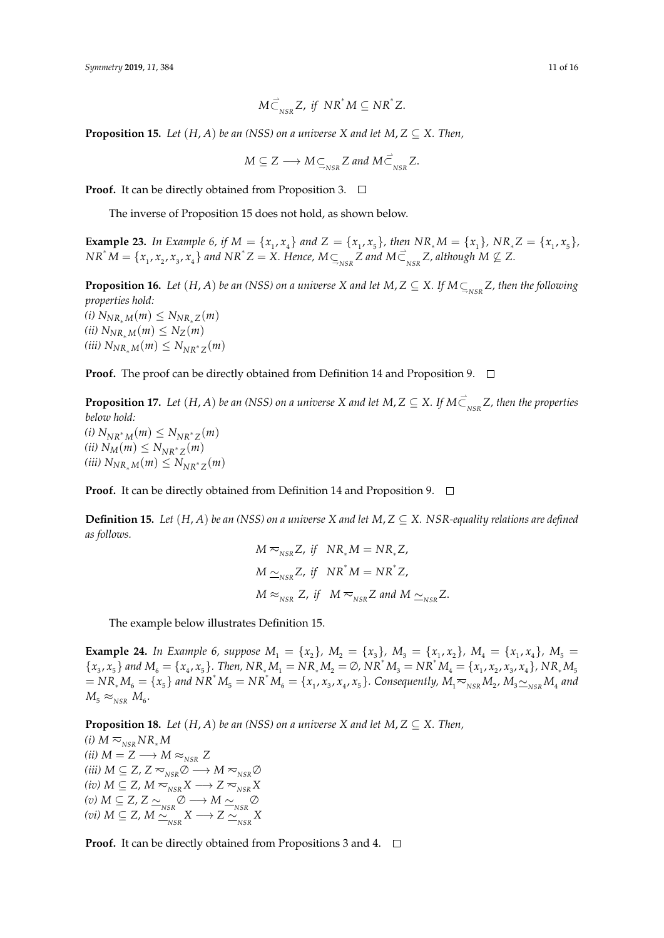$$
M\vec{\subset}_{NSR}Z, \text{ if } NR^*M\subseteq NR^*Z.
$$

**Proposition 15.** *Let*  $(H, A)$  *be an (NSS) on a universe X and let*  $M, Z \subseteq X$ *. Then,* 

$$
M\subseteq Z\longrightarrow M\subseteq_{_{NSR}}Z\text{ and }M\vec{\subset}_{_{NSR}}Z.
$$

**Proof.** It can be directly obtained from Proposition 3. □

The inverse of Proposition 15 does not hold, as shown below.

**Example 23.** In Example 6, if  $M = \{x_1, x_4\}$  and  $Z = \{x_1, x_5\}$ , then  $NR_*M = \{x_1\}$ ,  $NR_*Z = \{x_1, x_5\}$ ,  $N R^* M = \{x_1, x_2, x_3, x_4\}$  and  $N R^* Z = X$ . Hence,  $M \subseteq_{NSR} Z$  and  $M \subseteq_{NSR} Z$ , although  $M \nsubseteq Z$ .

**Proposition 16.** Let  $(H, A)$  be an (NSS) on a universe X and let  $M, Z \subseteq X$ . If  $M \subseteq_{_{NSR}} Z$ , then the following *properties hold:*  $(i)$   $N_{NR_*M}(m)$  ≤  $N_{NR_*Z}(m)$  $(iii)$   $N_{NR_{*}M}(m) \leq N_{Z}(m)$  $(iii)$   $N_{NR_*M}(m)$  ≤  $N_{NR^*Z}(m)$ 

**Proof.** The proof can be directly obtained from Definition 14 and Proposition 9.  $\Box$ 

**Proposition 17.** Let  $(H, A)$  be an (NSS) on a universe X and let  $M, Z \subseteq X$ . If  $M \vec{\subset}_{NSR}^{\text{}} Z$ , then the properties *below hold:*  $N_{NR^*M}(m)$  ≤  $N_{NR^*Z}(m)$  $(iii)$   $N_M(m) \leq N_{NR^*Z}(m)$  $(iii)$   $N_{NR_*M}(m)$  ≤  $N_{NR^*Z}(m)$ 

**Proof.** It can be directly obtained from Definition 14 and Proposition 9.  $\Box$ 

**Definition 15.** Let  $(H, A)$  be an (NSS) on a universe *X* and let  $M, Z \subseteq X$ . NSR-equality relations are defined *as follows.*

$$
M \approx_{NSR} Z, \text{ if } NR_*M = NR_*Z,
$$
  
\n
$$
M \approx_{NSR} Z, \text{ if } NR^*M = NR^*Z,
$$
  
\n
$$
M \approx_{NSR} Z, \text{ if } M \approx_{NSR} Z \text{ and } M \approx_{NSR} Z.
$$

The example below illustrates Definition 15.

**Example 24.** In Example 6, suppose  $M_1 = \{x_2\}$ ,  $M_2 = \{x_3\}$ ,  $M_3 = \{x_1, x_2\}$ ,  $M_4 = \{x_1, x_4\}$ ,  $M_5 =$  ${x_3, x_5}$  and  $M_6 = {x_4, x_5}$ . Then,  $NR_*M_1 = NR_*M_2 = \emptyset$ ,  $NR^*M_3 = NR^*M_4 = {x_1, x_2, x_3, x_4}$ ,  $NR_*M_5$  $N = NR_*M_6 = \{x_5\}$  and  $NR^*M_5 = NR^*M_6 = \{x_1, x_3, x_4, x_5\}$ . Consequently,  $M_1 \approx_{NSR} M_2$ ,  $M_3 \approx_{NSR} M_4$  and  $M_{\overline{5}} \approx_{\overline{NSR}} M_{\overline{6}}$ .

**Proposition 18.** *Let*  $(H, A)$  *be an (NSS) on a universe X and let*  $M, Z \subseteq X$ *. Then, (i)*  $M \approx_{NSR} N R_* M$ *(ii)*  $M = Z$  →  $M \approx_{NSR} Z$  $(iii) M ⊆ Z, Z ≈_{NSR} \emptyset \longrightarrow M ≈_{NSR} \emptyset$ *(iv)*  $M \subseteq Z$ *,*  $M \approx_{NSR} X$  →  $Z \approx_{NSR} X$  $(v) M ⊆ Z, Z ⊵<sub>NSR</sub> Ø → M ⊆<sub>NSR</sub> Ø$ *(vi) M* ⊆ *Z*, *M*  $\frac{N}{\sim} X$   $\frac{N}{N} X$   $\rightarrow$  *Z*  $\frac{N}{N} X$ 

**Proof.** It can be directly obtained from Propositions 3 and 4. □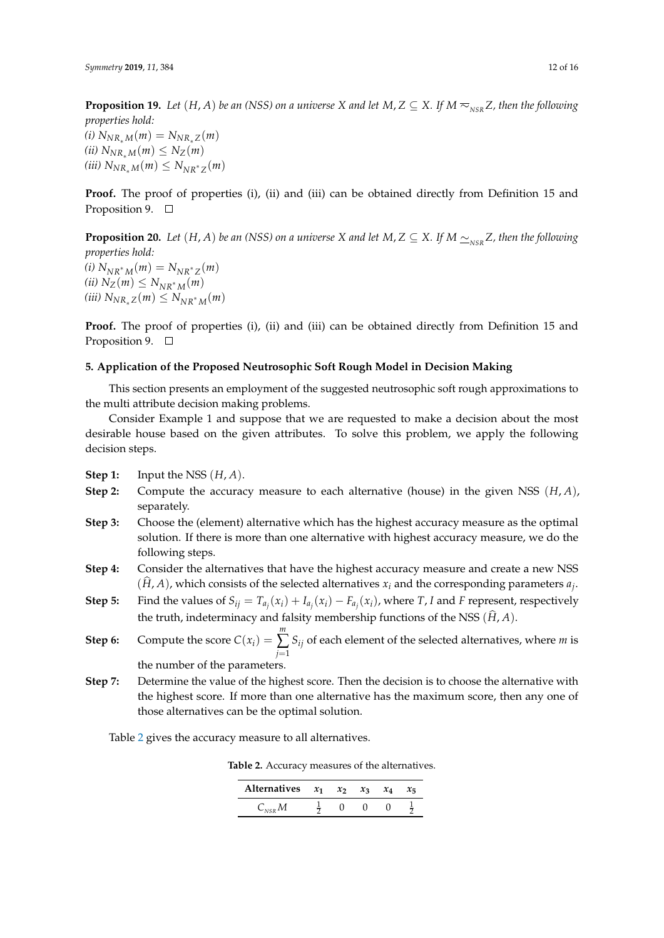**Proposition 19.** *Let*  $(H, A)$  *be an (NSS) on a universe X and let*  $M, Z \subseteq X$ *. If*  $M \sim_{NSR} Z$ *, then the following properties hold:*  $(i) N_{NR_*M}(m) = N_{NR_*Z}(m)$  $(iii)$   $N_{NR_*M}(m) \leq N_Z(m)$  $(iii)$   $N_{NR_*M}(m)$  ≤  $N_{NR^*Z}(m)$ 

**Proof.** The proof of properties (i), (ii) and (iii) can be obtained directly from Definition 15 and Proposition 9.  $\Box$ 

**Proposition 20.** *Let*  $(H, A)$  *be an (NSS) on a universe X and let*  $M, Z \subseteq X$ *. If*  $M \simeq_{NSR} Z$ *, then the following properties hold:*  $(i) N_{NR^*M}(m) = N_{NR^*Z}(m)$  $(iii) N_Z(m) ≤ N_{NR^*M}(m)$  $(iii)$   $N_{NR_*Z}(m)$  ≤  $N_{NR^*M}(m)$ 

Proof. The proof of properties (i), (ii) and (iii) can be obtained directly from Definition 15 and Proposition 9.  $\Box$ 

## <span id="page-11-0"></span>**5. Application of the Proposed Neutrosophic Soft Rough Model in Decision Making**

This section presents an employment of the suggested neutrosophic soft rough approximations to the multi attribute decision making problems.

Consider Example 1 and suppose that we are requested to make a decision about the most desirable house based on the given attributes. To solve this problem, we apply the following decision steps.

- **Step 1:** Input the NSS (*H*, *A*).
- **Step 2:** Compute the accuracy measure to each alternative (house) in the given NSS (*H*, *A*), separately.
- **Step 3:** Choose the (element) alternative which has the highest accuracy measure as the optimal solution. If there is more than one alternative with highest accuracy measure, we do the following steps.
- **Step 4:** Consider the alternatives that have the highest accuracy measure and create a new NSS  $(H, A)$ , which consists of the selected alternatives  $x_i$  and the corresponding parameters  $a_j$ .
- **Step 5:** Find the values of  $S_{ij} = T_{a_j}(x_i) + I_{a_j}(x_i) F_{a_j}(x_i)$ , where T, I and F represent, respectively the truth, indeterminacy and falsity membership functions of the NSS  $(\widehat{H}, A)$ .
- **Step 6:** Compute the score  $C(x_i)$  = *m* ∑ *j*=1 *Sij* of each element of the selected alternatives, where *m* is

the number of the parameters.

**Step 7:** Determine the value of the highest score. Then the decision is to choose the alternative with the highest score. If more than one alternative has the maximum score, then any one of those alternatives can be the optimal solution.

<span id="page-11-1"></span>Table [2](#page-11-1) gives the accuracy measure to all alternatives.

**Table 2.** Accuracy measures of the alternatives.

| Alternatives $x_1$ $x_2$ $x_3$ |  | $\chi_4$ | $x_{5}$ |
|--------------------------------|--|----------|---------|
|                                |  |          |         |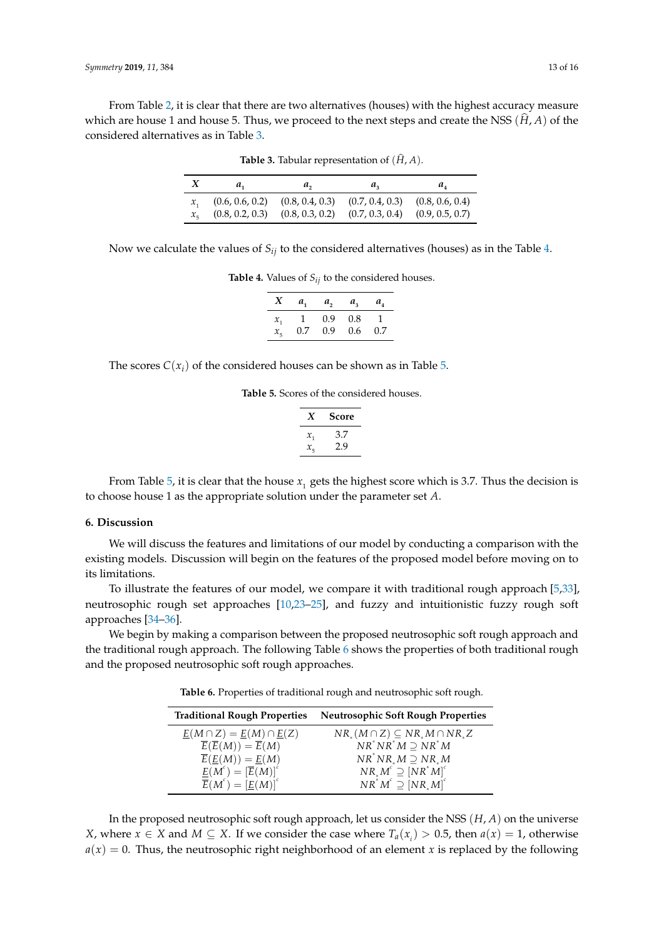<span id="page-12-1"></span>From Table [2,](#page-11-1) it is clear that there are two alternatives (houses) with the highest accuracy measure which are house 1 and house 5. Thus, we proceed to the next steps and create the NSS  $(\hat{H}, A)$  of the considered alternatives as in Table [3.](#page-12-1)

| а.              | $a_{\alpha}$    | $\mathbf{u}_n$  | $u_{\scriptscriptstyle A}$ |
|-----------------|-----------------|-----------------|----------------------------|
| (0.6, 0.6, 0.2) | (0.8, 0.4, 0.3) | (0.7, 0.4, 0.3) | (0.8, 0.6, 0.4)            |
| (0.8, 0.2, 0.3) | (0.8, 0.3, 0.2) | (0.7, 0.3, 0.4) | (0.9, 0.5, 0.7)            |

**Table 3.** Tabular representation of  $(\widehat{H}, A)$ .

<span id="page-12-2"></span>Now we calculate the values of *Sij* to the considered alternatives (houses) as in the Table [4.](#page-12-2)

**Table 4.** Values of  $S_{ij}$  to the considered houses.

| X       | $a_{1}$        | $a_{2}$          | $a_{3}$ | $a_{\scriptscriptstyle A}$ |
|---------|----------------|------------------|---------|----------------------------|
| $x_{1}$ | $\overline{1}$ | 0.9 <sup>°</sup> | 0.8     | J.                         |
| $x_{5}$ | 0.7            | 0.9              | 0.6     | 0.7                        |

<span id="page-12-3"></span>The scores  $C(x_i)$  of the considered houses can be shown as in Table [5.](#page-12-3)

**Table 5.** Scores of the considered houses.

| X               | Score |
|-----------------|-------|
| $\mathcal{X}_1$ | 3.7   |
| $x_{\pi}$       | 2.9   |

From Table [5,](#page-12-3) it is clear that the house  $x_{1}$  gets the highest score which is 3.7. Thus the decision is to choose house 1 as the appropriate solution under the parameter set *A*.

#### <span id="page-12-0"></span>**6. Discussion**

We will discuss the features and limitations of our model by conducting a comparison with the existing models. Discussion will begin on the features of the proposed model before moving on to its limitations.

To illustrate the features of our model, we compare it with traditional rough approach [\[5,](#page-14-4)[33\]](#page-15-13), neutrosophic rough set approaches [\[10](#page-14-10)[,23–](#page-15-7)[25\]](#page-15-14), and fuzzy and intuitionistic fuzzy rough soft approaches [\[34–](#page-15-15)[36\]](#page-15-16).

<span id="page-12-4"></span>We begin by making a comparison between the proposed neutrosophic soft rough approach and the traditional rough approach. The following Table [6](#page-12-4) shows the properties of both traditional rough and the proposed neutrosophic soft rough approaches.

**Table 6.** Properties of traditional rough and neutrosophic soft rough.

| <b>Traditional Rough Properties</b>                                | <b>Neutrosophic Soft Rough Properties</b>                        |
|--------------------------------------------------------------------|------------------------------------------------------------------|
| $\underline{E}(M \cap Z) = \underline{E}(M) \cap \underline{E}(Z)$ | $NR_{\alpha}(M \cap Z) \subseteq NR_{\alpha}M \cap NR_{\alpha}Z$ |
| $\overline{E}(\overline{E}(M)) = \overline{E}(M)$                  | $NR^*NR^*M\supset NR^*M$                                         |
| $\overline{E}(\underline{E}(M)) = \underline{E}(M)$                | $NR^*NR_*M \supseteq NR_*M$                                      |
| $\underline{E}(M^{c}) = [\overline{E}(M)]^{c}$                     | $NR_*M^c \supseteq [NR^*M]^c$                                    |
| $\overline{E}(M^{c}) = [E(M)]^{c}$                                 | $NR^{\tilde{*}}M^c \supseteq [NR_{*}M]^c$                        |

In the proposed neutrosophic soft rough approach, let us consider the NSS (*H*, *A*) on the universe *X*, where *x* ∈ *X* and *M* ⊆ *X*. If we consider the case where  $T_a(x_i) > 0.5$ , then  $a(x) = 1$ , otherwise  $a(x) = 0$ . Thus, the neutrosophic right neighborhood of an element *x* is replaced by the following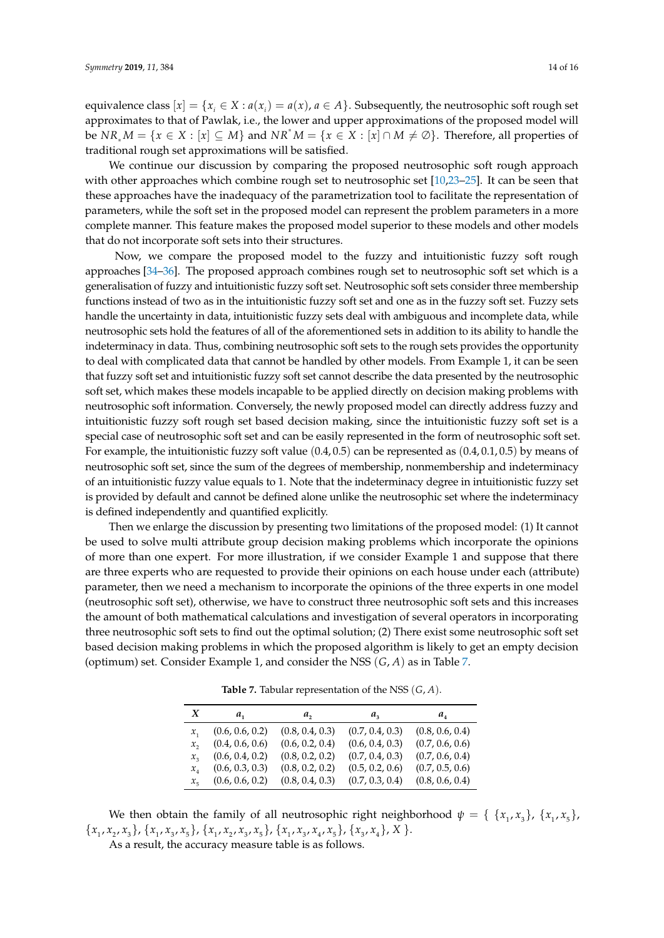equivalence class  $[x] = \{x_i \in X : a(x_i) = a(x), a \in A\}$ . Subsequently, the neutrosophic soft rough set approximates to that of Pawlak, i.e., the lower and upper approximations of the proposed model will be  $NR_* M = \{x \in X : [x] \subseteq M\}$  and  $NR^* M = \{x \in X : [x] \cap M \neq \emptyset\}$ . Therefore, all properties of traditional rough set approximations will be satisfied.

We continue our discussion by comparing the proposed neutrosophic soft rough approach with other approaches which combine rough set to neutrosophic set [\[10,](#page-14-10)[23](#page-15-7)[–25\]](#page-15-14). It can be seen that these approaches have the inadequacy of the parametrization tool to facilitate the representation of parameters, while the soft set in the proposed model can represent the problem parameters in a more complete manner. This feature makes the proposed model superior to these models and other models that do not incorporate soft sets into their structures.

Now, we compare the proposed model to the fuzzy and intuitionistic fuzzy soft rough approaches [\[34](#page-15-15)[–36\]](#page-15-16). The proposed approach combines rough set to neutrosophic soft set which is a generalisation of fuzzy and intuitionistic fuzzy soft set. Neutrosophic soft sets consider three membership functions instead of two as in the intuitionistic fuzzy soft set and one as in the fuzzy soft set. Fuzzy sets handle the uncertainty in data, intuitionistic fuzzy sets deal with ambiguous and incomplete data, while neutrosophic sets hold the features of all of the aforementioned sets in addition to its ability to handle the indeterminacy in data. Thus, combining neutrosophic soft sets to the rough sets provides the opportunity to deal with complicated data that cannot be handled by other models. From Example 1, it can be seen that fuzzy soft set and intuitionistic fuzzy soft set cannot describe the data presented by the neutrosophic soft set, which makes these models incapable to be applied directly on decision making problems with neutrosophic soft information. Conversely, the newly proposed model can directly address fuzzy and intuitionistic fuzzy soft rough set based decision making, since the intuitionistic fuzzy soft set is a special case of neutrosophic soft set and can be easily represented in the form of neutrosophic soft set. For example, the intuitionistic fuzzy soft value  $(0.4, 0.5)$  can be represented as  $(0.4, 0.1, 0.5)$  by means of neutrosophic soft set, since the sum of the degrees of membership, nonmembership and indeterminacy of an intuitionistic fuzzy value equals to 1. Note that the indeterminacy degree in intuitionistic fuzzy set is provided by default and cannot be defined alone unlike the neutrosophic set where the indeterminacy is defined independently and quantified explicitly.

Then we enlarge the discussion by presenting two limitations of the proposed model: (1) It cannot be used to solve multi attribute group decision making problems which incorporate the opinions of more than one expert. For more illustration, if we consider Example 1 and suppose that there are three experts who are requested to provide their opinions on each house under each (attribute) parameter, then we need a mechanism to incorporate the opinions of the three experts in one model (neutrosophic soft set), otherwise, we have to construct three neutrosophic soft sets and this increases the amount of both mathematical calculations and investigation of several operators in incorporating three neutrosophic soft sets to find out the optimal solution; (2) There exist some neutrosophic soft set based decision making problems in which the proposed algorithm is likely to get an empty decision (optimum) set. Consider Example 1, and consider the NSS (*G*, *A*) as in Table [7.](#page-13-0)

<span id="page-13-0"></span>

| X                          | а,              | a,              | $a_{\rm a}$     | $a_{\scriptscriptstyle A}$ |
|----------------------------|-----------------|-----------------|-----------------|----------------------------|
| $\mathcal{X}_1$            | (0.6, 0.6, 0.2) | (0.8, 0.4, 0.3) | (0.7, 0.4, 0.3) | (0.8, 0.6, 0.4)            |
| $\mathcal{X},$             | (0.4, 0.6, 0.6) | (0.6, 0.2, 0.4) | (0.6, 0.4, 0.3) | (0.7, 0.6, 0.6)            |
| $x_{2}$                    | (0.6, 0.4, 0.2) | (0.8, 0.2, 0.2) | (0.7, 0.4, 0.3) | (0.7, 0.6, 0.4)            |
| $x_{\scriptscriptstyle A}$ | (0.6, 0.3, 0.3) | (0.8, 0.2, 0.2) | (0.5, 0.2, 0.6) | (0.7, 0.5, 0.6)            |
| $x_{\kappa}$               | (0.6, 0.6, 0.2) | (0.8, 0.4, 0.3) | (0.7, 0.3, 0.4) | (0.8, 0.6, 0.4)            |

**Table 7.** Tabular representation of the NSS (*G*, *A*).

We then obtain the family of all neutrosophic right neighborhood  $\psi = \{ \{x_1, x_3\}, \{x_1, x_5\} \}$  ${x_1, x_2, x_3}, {x_1, x_3, x_5}, {x_1, x_2, x_3, x_5}, {x_1, x_2, x_3, x_5}, {x_1, x_3, x_4, x_5}, {x_1, x_3, x_4}.$ 

As a result, the accuracy measure table is as follows.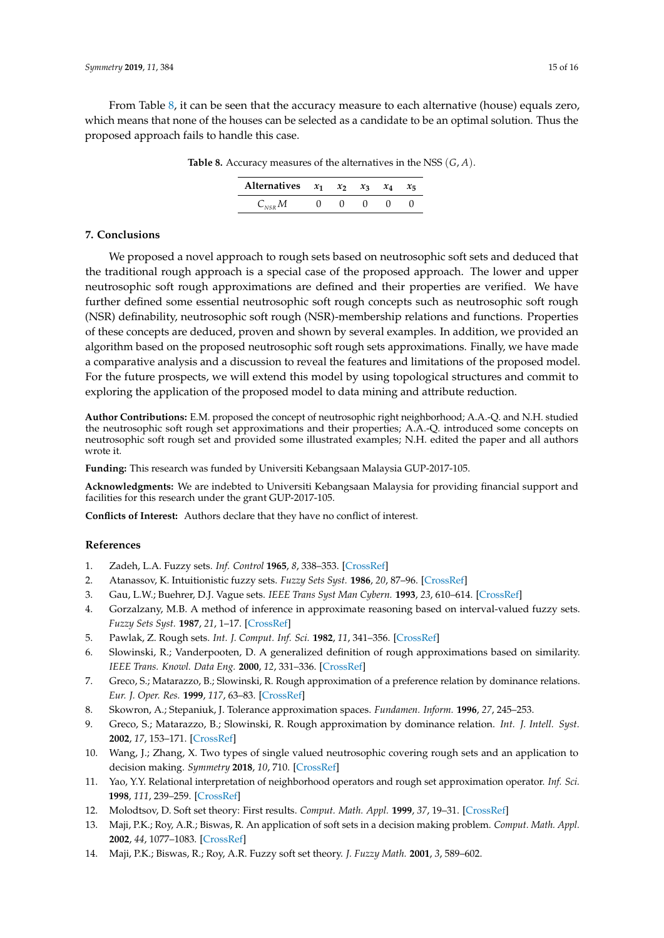<span id="page-14-11"></span>From Table [8,](#page-14-11) it can be seen that the accuracy measure to each alternative (house) equals zero, which means that none of the houses can be selected as a candidate to be an optimal solution. Thus the proposed approach fails to handle this case.

| Alternatives $x_1$ $x_2$ $x_3$ $x_4$ |  |   | $x_{\overline{z}}$ |
|--------------------------------------|--|---|--------------------|
|                                      |  | 0 |                    |

**Table 8.** Accuracy measures of the alternatives in the NSS (*G*, *A*).

## **7. Conclusions**

We proposed a novel approach to rough sets based on neutrosophic soft sets and deduced that the traditional rough approach is a special case of the proposed approach. The lower and upper neutrosophic soft rough approximations are defined and their properties are verified. We have further defined some essential neutrosophic soft rough concepts such as neutrosophic soft rough (NSR) definability, neutrosophic soft rough (NSR)-membership relations and functions. Properties of these concepts are deduced, proven and shown by several examples. In addition, we provided an algorithm based on the proposed neutrosophic soft rough sets approximations. Finally, we have made a comparative analysis and a discussion to reveal the features and limitations of the proposed model. For the future prospects, we will extend this model by using topological structures and commit to exploring the application of the proposed model to data mining and attribute reduction.

**Author Contributions:** E.M. proposed the concept of neutrosophic right neighborhood; A.A.-Q. and N.H. studied the neutrosophic soft rough set approximations and their properties; A.A.-Q. introduced some concepts on neutrosophic soft rough set and provided some illustrated examples; N.H. edited the paper and all authors wrote it.

**Funding:** This research was funded by Universiti Kebangsaan Malaysia GUP-2017-105.

**Acknowledgments:** We are indebted to Universiti Kebangsaan Malaysia for providing financial support and facilities for this research under the grant GUP-2017-105.

**Conflicts of Interest:** Authors declare that they have no conflict of interest.

### **References**

- <span id="page-14-0"></span>1. Zadeh, L.A. Fuzzy sets. *Inf. Control* **1965**, *8*, 338–353. [\[CrossRef\]](http://dx.doi.org/10.1016/S0019-9958(65)90241-X)
- <span id="page-14-1"></span>2. Atanassov, K. Intuitionistic fuzzy sets. *Fuzzy Sets Syst.* **1986**, *20*, 87–96. [\[CrossRef\]](http://dx.doi.org/10.1016/S0165-0114(86)80034-3)
- <span id="page-14-2"></span>3. Gau, L.W.; Buehrer, D.J. Vague sets. *IEEE Trans Syst Man Cybern.* **1993**, *23*, 610–614. [\[CrossRef\]](http://dx.doi.org/10.1109/21.229476)
- <span id="page-14-3"></span>4. Gorzalzany, M.B. A method of inference in approximate reasoning based on interval-valued fuzzy sets. *Fuzzy Sets Syst.* **1987**, *21*, 1–17. [\[CrossRef\]](http://dx.doi.org/10.1016/0165-0114(87)90148-5)
- <span id="page-14-4"></span>5. Pawlak, Z. Rough sets. *Int. J. Comput. Inf. Sci.* **1982**, *11*, 341–356. [\[CrossRef\]](http://dx.doi.org/10.1007/BF01001956)
- <span id="page-14-5"></span>6. Slowinski, R.; Vanderpooten, D. A generalized definition of rough approximations based on similarity. *IEEE Trans. Knowl. Data Eng.* **2000**, *12*, 331–336. [\[CrossRef\]](http://dx.doi.org/10.1109/69.842271)
- 7. Greco, S.; Matarazzo, B.; Slowinski, R. Rough approximation of a preference relation by dominance relations. *Eur. J. Oper. Res.* **1999**, *117*, 63–83. [\[CrossRef\]](http://dx.doi.org/10.1016/S0377-2217(98)00127-1)
- 8. Skowron, A.; Stepaniuk, J. Tolerance approximation spaces. *Fundamen. Inform.* **1996**, *27*, 245–253.
- 9. Greco, S.; Matarazzo, B.; Slowinski, R. Rough approximation by dominance relation. *Int. J. Intell. Syst.* **2002**, *17*, 153–171. [\[CrossRef\]](http://dx.doi.org/10.1002/int.10014)
- <span id="page-14-10"></span>10. Wang, J.; Zhang, X. Two types of single valued neutrosophic covering rough sets and an application to decision making. *Symmetry* **2018**, *10*, 710. [\[CrossRef\]](http://dx.doi.org/10.3390/sym10120710)
- <span id="page-14-6"></span>11. Yao, Y.Y. Relational interpretation of neighborhood operators and rough set approximation operator. *Inf. Sci.* **1998**, *111*, 239–259. [\[CrossRef\]](http://dx.doi.org/10.1016/S0020-0255(98)10006-3)
- <span id="page-14-7"></span>12. Molodtsov, D. Soft set theory: First results. *Comput. Math. Appl.* **1999**, *37*, 19–31. [\[CrossRef\]](http://dx.doi.org/10.1016/S0898-1221(99)00056-5)
- <span id="page-14-8"></span>13. Maji, P.K.; Roy, A.R.; Biswas, R. An application of soft sets in a decision making problem. *Comput. Math. Appl.* **2002**, *44*, 1077–1083. [\[CrossRef\]](http://dx.doi.org/10.1016/S0898-1221(02)00216-X)
- <span id="page-14-9"></span>14. Maji, P.K.; Biswas, R.; Roy, A.R. Fuzzy soft set theory. *J. Fuzzy Math.* **2001**, *3*, 589–602.